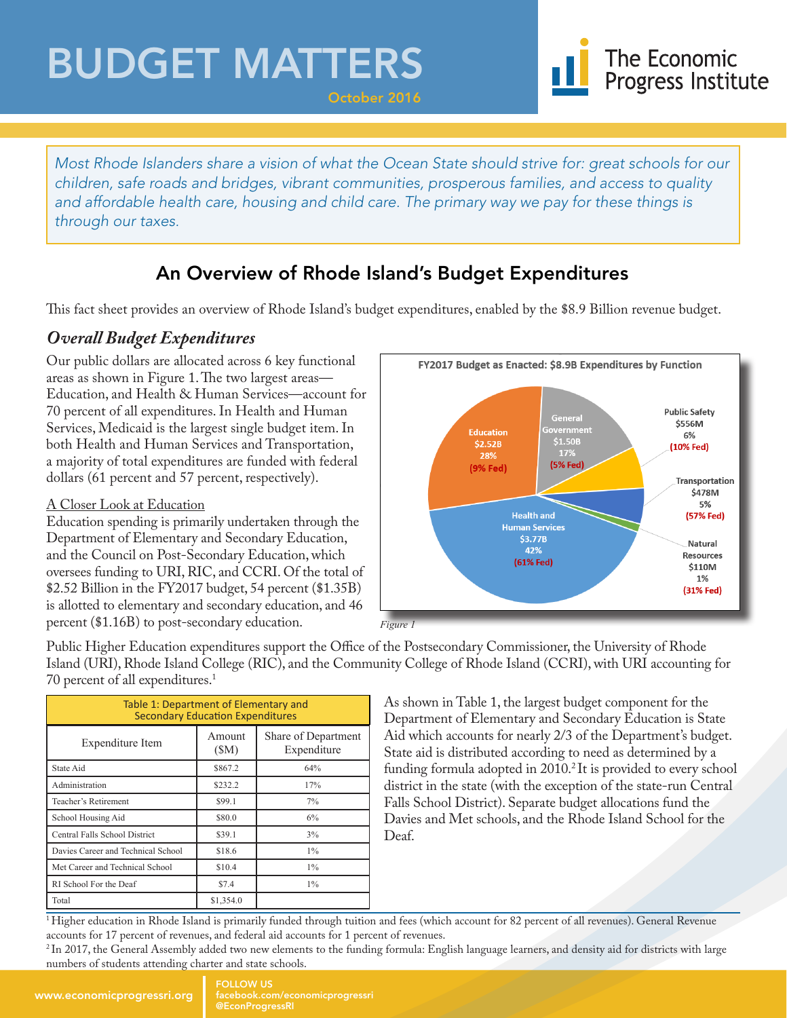## BUDGET MATTERS



*Most Rhode Islanders share a vision of what the Ocean State should strive for: great schools for our children, safe roads and bridges, vibrant communities, prosperous families, and access to quality*  and affordable health care, housing and child care. The primary way we pay for these things is *through our taxes.*

October 2016

### An Overview of Rhode Island's Budget Expenditures

This fact sheet provides an overview of Rhode Island's budget expenditures, enabled by the \$8.9 Billion revenue budget.

#### *Overall Budget Expenditures*

Our public dollars are allocated across 6 key functional areas as shown in Figure 1. The two largest areas— Education, and Health & Human Services—account for 70 percent of all expenditures. In Health and Human Services, Medicaid is the largest single budget item. In both Health and Human Services and Transportation, a majority of total expenditures are funded with federal dollars (61 percent and 57 percent, respectively).

#### A Closer Look at Education

Education spending is primarily undertaken through the Department of Elementary and Secondary Education, and the Council on Post-Secondary Education, which oversees funding to URI, RIC, and CCRI. Of the total of \$2.52 Billion in the FY2017 budget, 54 percent (\$1.35B) is allotted to elementary and secondary education, and 46 percent (\$1.16B) to post-secondary education.



*Figure* 

Public Higher Education expenditures support the Office of the Postsecondary Commissioner, the University of Rhode Island (URI), Rhode Island College (RIC), and the Community College of Rhode Island (CCRI), with URI accounting for 70 percent of all expenditures.<sup>1</sup>

| Table 1: Department of Elementary and<br><b>Secondary Education Expenditures</b> |                |                                    |
|----------------------------------------------------------------------------------|----------------|------------------------------------|
| Expenditure Item                                                                 | Amount<br>(SM) | Share of Department<br>Expenditure |
| State Aid                                                                        | \$867.2        | 64%                                |
| Administration                                                                   | \$232.2        | 17%                                |
| Teacher's Retirement                                                             | \$99.1         | 7%                                 |
| School Housing Aid                                                               | \$80.0         | 6%                                 |
| Central Falls School District                                                    | \$39.1         | 3%                                 |
| Davies Career and Technical School                                               | \$18.6         | $1\%$                              |
| Met Career and Technical School                                                  | \$10.4         | $1\%$                              |
| RI School For the Deaf                                                           | \$7.4          | $1\%$                              |
| Total                                                                            | \$1,354.0      |                                    |

As shown in Table 1, the largest budget component for the Department of Elementary and Secondary Education is State Aid which accounts for nearly 2/3 of the Department's budget. State aid is distributed according to need as determined by a funding formula adopted in 2010.<sup>2</sup> It is provided to every school district in the state (with the exception of the state-run Central Falls School District). Separate budget allocations fund the Davies and Met schools, and the Rhode Island School for the Deaf.

<sup>1</sup>Higher education in Rhode Island is primarily funded through tuition and fees (which account for 82 percent of all revenues). General Revenue accounts for 17 percent of revenues, and federal aid accounts for 1 percent of revenues.

<sup>2</sup>In 2017, the General Assembly added two new elements to the funding formula: English language learners, and density aid for districts with large numbers of students attending charter and state schools.

FOLLOW US facebook.com/economicprogressri @EconProgressRI